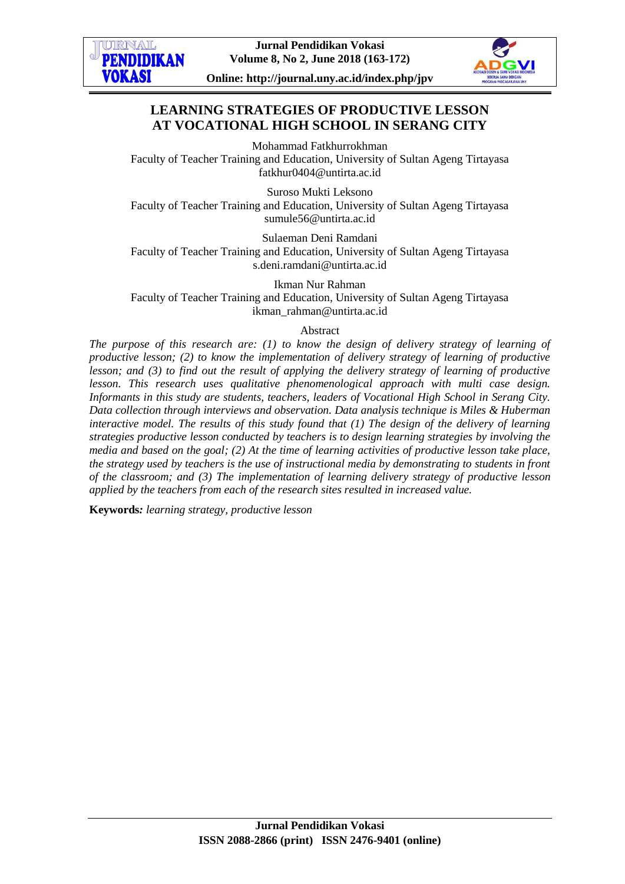



**Online: http://journal.uny.ac.id/index.php/jpv**

# **LEARNING STRATEGIES OF PRODUCTIVE LESSON AT VOCATIONAL HIGH SCHOOL IN SERANG CITY**

Mohammad Fatkhurrokhman Faculty of Teacher Training and Education, University of Sultan Ageng Tirtayasa fatkhur0404@untirta.ac.id

Suroso Mukti Leksono Faculty of Teacher Training and Education, University of Sultan Ageng Tirtayasa sumule56@untirta.ac.id

Sulaeman Deni Ramdani Faculty of Teacher Training and Education, University of Sultan Ageng Tirtayasa [s.deni.ramdani@untirta.ac.id](mailto:s.deni.ramdani@untirta.ac.id)

Ikman Nur Rahman Faculty of Teacher Training and Education, University of Sultan Ageng Tirtayasa ikman\_rahman@untirta.ac.id

#### Abstract

*The purpose of this research are: (1) to know the design of delivery strategy of learning of productive lesson; (2) to know the implementation of delivery strategy of learning of productive lesson; and (3) to find out the result of applying the delivery strategy of learning of productive lesson. This research uses qualitative phenomenological approach with multi case design. Informants in this study are students, teachers, leaders of Vocational High School in Serang City. Data collection through interviews and observation. Data analysis technique is Miles & Huberman interactive model. The results of this study found that (1) The design of the delivery of learning strategies productive lesson conducted by teachers is to design learning strategies by involving the media and based on the goal; (2) At the time of learning activities of productive lesson take place, the strategy used by teachers is the use of instructional media by demonstrating to students in front of the classroom; and (3) The implementation of learning delivery strategy of productive lesson applied by the teachers from each of the research sites resulted in increased value.*

**Keywords***: learning strategy, productive lesson*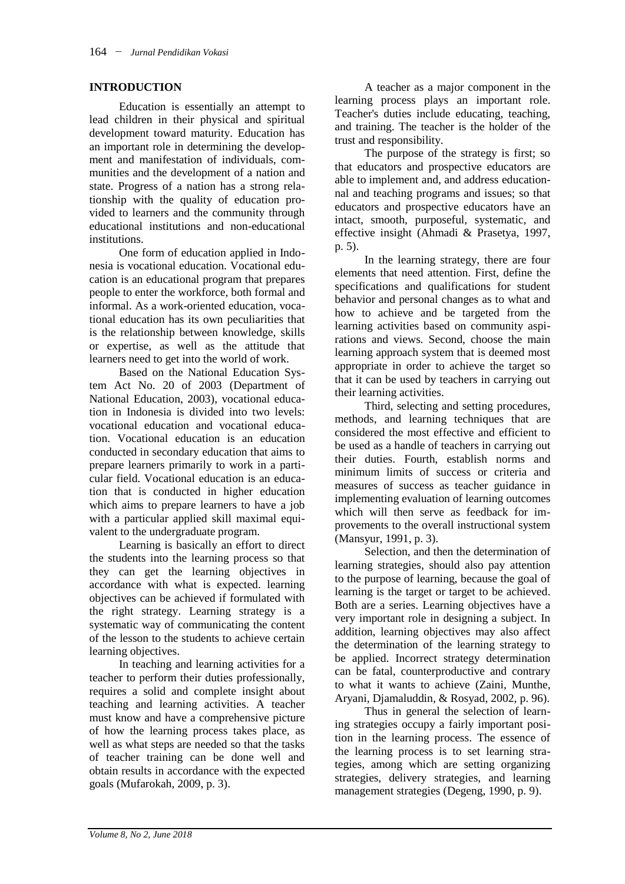#### **INTRODUCTION**

Education is essentially an attempt to lead children in their physical and spiritual development toward maturity. Education has an important role in determining the development and manifestation of individuals, communities and the development of a nation and state. Progress of a nation has a strong relationship with the quality of education provided to learners and the community through educational institutions and non-educational institutions.

One form of education applied in Indonesia is vocational education. Vocational education is an educational program that prepares people to enter the workforce, both formal and informal. As a work-oriented education, vocational education has its own peculiarities that is the relationship between knowledge, skills or expertise, as well as the attitude that learners need to get into the world of work.

Based on the National Education System Act No. 20 of 2003 (Department of National Education, 2003), vocational education in Indonesia is divided into two levels: vocational education and vocational education. Vocational education is an education conducted in secondary education that aims to prepare learners primarily to work in a particular field. Vocational education is an education that is conducted in higher education which aims to prepare learners to have a job with a particular applied skill maximal equivalent to the undergraduate program.

Learning is basically an effort to direct the students into the learning process so that they can get the learning objectives in accordance with what is expected. learning objectives can be achieved if formulated with the right strategy. Learning strategy is a systematic way of communicating the content of the lesson to the students to achieve certain learning objectives.

In teaching and learning activities for a teacher to perform their duties professionally, requires a solid and complete insight about teaching and learning activities. A teacher must know and have a comprehensive picture of how the learning process takes place, as well as what steps are needed so that the tasks of teacher training can be done well and obtain results in accordance with the expected goals (Mufarokah, 2009, p. 3).

A teacher as a major component in the learning process plays an important role. Teacher's duties include educating, teaching, and training. The teacher is the holder of the trust and responsibility.

The purpose of the strategy is first; so that educators and prospective educators are able to implement and, and address educationnal and teaching programs and issues; so that educators and prospective educators have an intact, smooth, purposeful, systematic, and effective insight (Ahmadi & Prasetya, 1997, p. 5).

In the learning strategy, there are four elements that need attention. First, define the specifications and qualifications for student behavior and personal changes as to what and how to achieve and be targeted from the learning activities based on community aspirations and views. Second, choose the main learning approach system that is deemed most appropriate in order to achieve the target so that it can be used by teachers in carrying out their learning activities.

Third, selecting and setting procedures, methods, and learning techniques that are considered the most effective and efficient to be used as a handle of teachers in carrying out their duties. Fourth, establish norms and minimum limits of success or criteria and measures of success as teacher guidance in implementing evaluation of learning outcomes which will then serve as feedback for improvements to the overall instructional system (Mansyur, 1991, p. 3).

Selection, and then the determination of learning strategies, should also pay attention to the purpose of learning, because the goal of learning is the target or target to be achieved. Both are a series. Learning objectives have a very important role in designing a subject. In addition, learning objectives may also affect the determination of the learning strategy to be applied. Incorrect strategy determination can be fatal, counterproductive and contrary to what it wants to achieve (Zaini, Munthe, Aryani, Djamaluddin, & Rosyad, 2002, p. 96).

Thus in general the selection of learning strategies occupy a fairly important position in the learning process. The essence of the learning process is to set learning strategies, among which are setting organizing strategies, delivery strategies, and learning management strategies (Degeng, 1990, p. 9).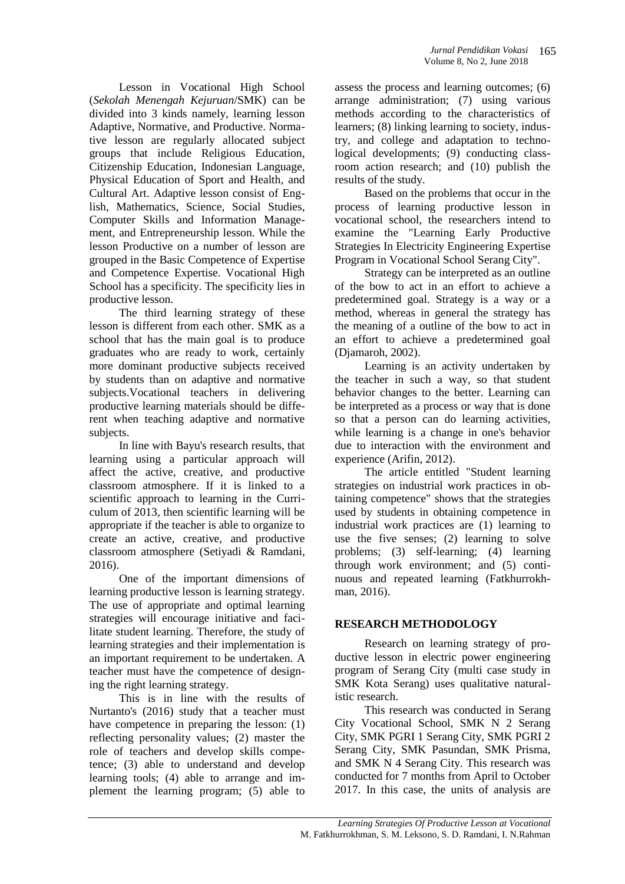Lesson in Vocational High School (*Sekolah Menengah Kejuruan*/SMK) can be divided into 3 kinds namely, learning lesson Adaptive, Normative, and Productive. Normative lesson are regularly allocated subject groups that include Religious Education, Citizenship Education, Indonesian Language, Physical Education of Sport and Health, and Cultural Art. Adaptive lesson consist of English, Mathematics, Science, Social Studies, Computer Skills and Information Management, and Entrepreneurship lesson. While the lesson Productive on a number of lesson are grouped in the Basic Competence of Expertise and Competence Expertise. Vocational High School has a specificity. The specificity lies in productive lesson.

The third learning strategy of these lesson is different from each other. SMK as a school that has the main goal is to produce graduates who are ready to work, certainly more dominant productive subjects received by students than on adaptive and normative subjects.Vocational teachers in delivering productive learning materials should be different when teaching adaptive and normative subjects.

In line with Bayu's research results, that learning using a particular approach will affect the active, creative, and productive classroom atmosphere. If it is linked to a scientific approach to learning in the Curriculum of 2013, then scientific learning will be appropriate if the teacher is able to organize to create an active, creative, and productive classroom atmosphere (Setiyadi & Ramdani, 2016).

One of the important dimensions of learning productive lesson is learning strategy. The use of appropriate and optimal learning strategies will encourage initiative and facilitate student learning. Therefore, the study of learning strategies and their implementation is an important requirement to be undertaken. A teacher must have the competence of designing the right learning strategy.

This is in line with the results of Nurtanto's (2016) study that a teacher must have competence in preparing the lesson: (1) reflecting personality values; (2) master the role of teachers and develop skills competence; (3) able to understand and develop learning tools; (4) able to arrange and implement the learning program; (5) able to

assess the process and learning outcomes; (6) arrange administration; (7) using various methods according to the characteristics of learners; (8) linking learning to society, industry, and college and adaptation to technological developments; (9) conducting classroom action research; and (10) publish the results of the study.

Based on the problems that occur in the process of learning productive lesson in vocational school, the researchers intend to examine the "Learning Early Productive Strategies In Electricity Engineering Expertise Program in Vocational School Serang City".

Strategy can be interpreted as an outline of the bow to act in an effort to achieve a predetermined goal. Strategy is a way or a method, whereas in general the strategy has the meaning of a outline of the bow to act in an effort to achieve a predetermined goal (Djamaroh, 2002).

Learning is an activity undertaken by the teacher in such a way, so that student behavior changes to the better. Learning can be interpreted as a process or way that is done so that a person can do learning activities, while learning is a change in one's behavior due to interaction with the environment and experience (Arifin, 2012).

The article entitled "Student learning strategies on industrial work practices in obtaining competence" shows that the strategies used by students in obtaining competence in industrial work practices are (1) learning to use the five senses; (2) learning to solve problems; (3) self-learning; (4) learning through work environment; and (5) continuous and repeated learning (Fatkhurrokhman, 2016).

## **RESEARCH METHODOLOGY**

Research on learning strategy of productive lesson in electric power engineering program of Serang City (multi case study in SMK Kota Serang) uses qualitative naturalistic research.

This research was conducted in Serang City Vocational School, SMK N 2 Serang City, SMK PGRI 1 Serang City, SMK PGRI 2 Serang City, SMK Pasundan, SMK Prisma, and SMK N 4 Serang City. This research was conducted for 7 months from April to October 2017. In this case, the units of analysis are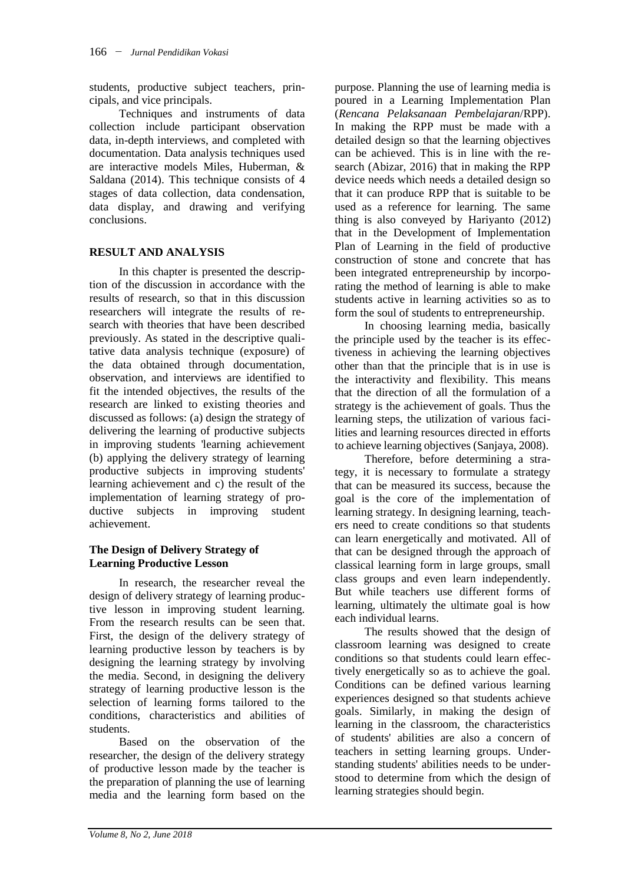students, productive subject teachers, principals, and vice principals.

Techniques and instruments of data collection include participant observation data, in-depth interviews, and completed with documentation. Data analysis techniques used are interactive models Miles, Huberman, & Saldana (2014). This technique consists of 4 stages of data collection, data condensation, data display, and drawing and verifying conclusions.

## **RESULT AND ANALYSIS**

In this chapter is presented the description of the discussion in accordance with the results of research, so that in this discussion researchers will integrate the results of research with theories that have been described previously. As stated in the descriptive qualitative data analysis technique (exposure) of the data obtained through documentation, observation, and interviews are identified to fit the intended objectives, the results of the research are linked to existing theories and discussed as follows: (a) design the strategy of delivering the learning of productive subjects in improving students 'learning achievement (b) applying the delivery strategy of learning productive subjects in improving students' learning achievement and c) the result of the implementation of learning strategy of productive subjects in improving student achievement.

## **The Design of Delivery Strategy of Learning Productive Lesson**

In research, the researcher reveal the design of delivery strategy of learning productive lesson in improving student learning. From the research results can be seen that. First, the design of the delivery strategy of learning productive lesson by teachers is by designing the learning strategy by involving the media. Second, in designing the delivery strategy of learning productive lesson is the selection of learning forms tailored to the conditions, characteristics and abilities of students.

Based on the observation of the researcher, the design of the delivery strategy of productive lesson made by the teacher is the preparation of planning the use of learning media and the learning form based on the

purpose. Planning the use of learning media is poured in a Learning Implementation Plan (*Rencana Pelaksanaan Pembelajaran*/RPP). In making the RPP must be made with a detailed design so that the learning objectives can be achieved. This is in line with the research (Abizar, 2016) that in making the RPP device needs which needs a detailed design so that it can produce RPP that is suitable to be used as a reference for learning. The same thing is also conveyed by Hariyanto (2012) that in the Development of Implementation Plan of Learning in the field of productive construction of stone and concrete that has been integrated entrepreneurship by incorporating the method of learning is able to make students active in learning activities so as to form the soul of students to entrepreneurship.

In choosing learning media, basically the principle used by the teacher is its effectiveness in achieving the learning objectives other than that the principle that is in use is the interactivity and flexibility. This means that the direction of all the formulation of a strategy is the achievement of goals. Thus the learning steps, the utilization of various facilities and learning resources directed in efforts to achieve learning objectives (Sanjaya, 2008).

Therefore, before determining a strategy, it is necessary to formulate a strategy that can be measured its success, because the goal is the core of the implementation of learning strategy. In designing learning, teachers need to create conditions so that students can learn energetically and motivated. All of that can be designed through the approach of classical learning form in large groups, small class groups and even learn independently. But while teachers use different forms of learning, ultimately the ultimate goal is how each individual learns.

The results showed that the design of classroom learning was designed to create conditions so that students could learn effectively energetically so as to achieve the goal. Conditions can be defined various learning experiences designed so that students achieve goals. Similarly, in making the design of learning in the classroom, the characteristics of students' abilities are also a concern of teachers in setting learning groups. Understanding students' abilities needs to be understood to determine from which the design of learning strategies should begin.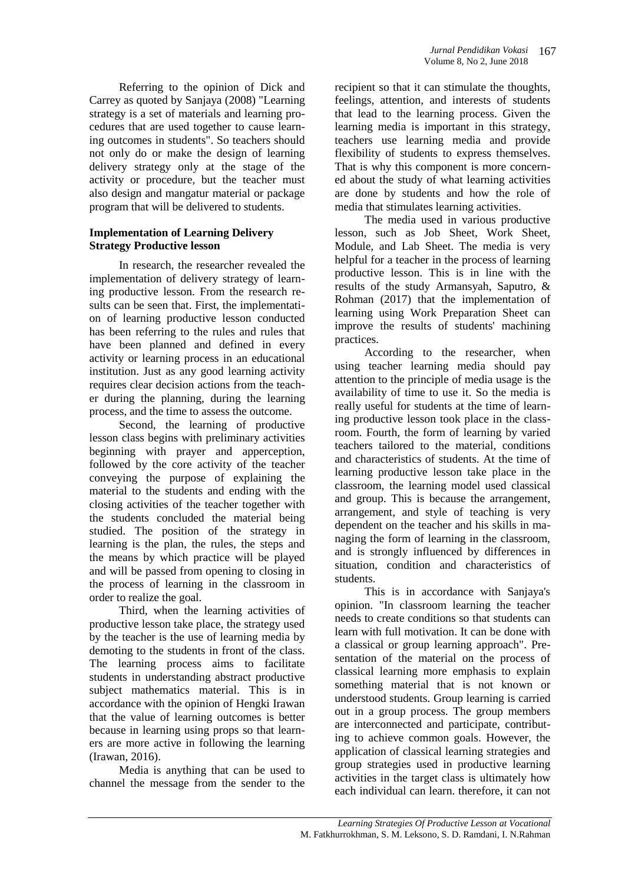Referring to the opinion of Dick and Carrey as quoted by Sanjaya (2008) "Learning strategy is a set of materials and learning procedures that are used together to cause learning outcomes in students". So teachers should not only do or make the design of learning delivery strategy only at the stage of the activity or procedure, but the teacher must also design and mangatur material or package program that will be delivered to students.

#### **Implementation of Learning Delivery Strategy Productive lesson**

In research, the researcher revealed the implementation of delivery strategy of learning productive lesson. From the research results can be seen that. First, the implementation of learning productive lesson conducted has been referring to the rules and rules that have been planned and defined in every activity or learning process in an educational institution. Just as any good learning activity requires clear decision actions from the teacher during the planning, during the learning process, and the time to assess the outcome.

Second, the learning of productive lesson class begins with preliminary activities beginning with prayer and apperception, followed by the core activity of the teacher conveying the purpose of explaining the material to the students and ending with the closing activities of the teacher together with the students concluded the material being studied. The position of the strategy in learning is the plan, the rules, the steps and the means by which practice will be played and will be passed from opening to closing in the process of learning in the classroom in order to realize the goal.

Third, when the learning activities of productive lesson take place, the strategy used by the teacher is the use of learning media by demoting to the students in front of the class. The learning process aims to facilitate students in understanding abstract productive subject mathematics material. This is in accordance with the opinion of Hengki Irawan that the value of learning outcomes is better because in learning using props so that learners are more active in following the learning (Irawan, 2016).

Media is anything that can be used to channel the message from the sender to the

recipient so that it can stimulate the thoughts, feelings, attention, and interests of students that lead to the learning process. Given the learning media is important in this strategy, teachers use learning media and provide flexibility of students to express themselves. That is why this component is more concerned about the study of what learning activities are done by students and how the role of media that stimulates learning activities.

The media used in various productive lesson, such as Job Sheet, Work Sheet, Module, and Lab Sheet. The media is very helpful for a teacher in the process of learning productive lesson. This is in line with the results of the study Armansyah, Saputro, & Rohman (2017) that the implementation of learning using Work Preparation Sheet can improve the results of students' machining practices.

According to the researcher, when using teacher learning media should pay attention to the principle of media usage is the availability of time to use it. So the media is really useful for students at the time of learning productive lesson took place in the classroom. Fourth, the form of learning by varied teachers tailored to the material, conditions and characteristics of students. At the time of learning productive lesson take place in the classroom, the learning model used classical and group. This is because the arrangement, arrangement, and style of teaching is very dependent on the teacher and his skills in managing the form of learning in the classroom, and is strongly influenced by differences in situation, condition and characteristics of students.

This is in accordance with Sanjaya's opinion. "In classroom learning the teacher needs to create conditions so that students can learn with full motivation. It can be done with a classical or group learning approach". Presentation of the material on the process of classical learning more emphasis to explain something material that is not known or understood students. Group learning is carried out in a group process. The group members are interconnected and participate, contributing to achieve common goals. However, the application of classical learning strategies and group strategies used in productive learning activities in the target class is ultimately how each individual can learn. therefore, it can not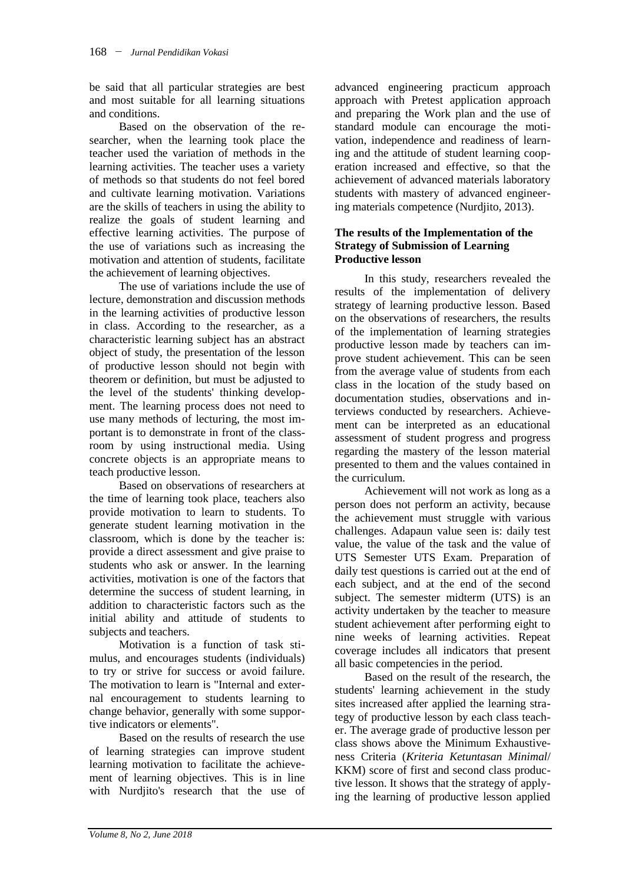be said that all particular strategies are best and most suitable for all learning situations and conditions.

Based on the observation of the researcher, when the learning took place the teacher used the variation of methods in the learning activities. The teacher uses a variety of methods so that students do not feel bored and cultivate learning motivation. Variations are the skills of teachers in using the ability to realize the goals of student learning and effective learning activities. The purpose of the use of variations such as increasing the motivation and attention of students, facilitate the achievement of learning objectives.

The use of variations include the use of lecture, demonstration and discussion methods in the learning activities of productive lesson in class. According to the researcher, as a characteristic learning subject has an abstract object of study, the presentation of the lesson of productive lesson should not begin with theorem or definition, but must be adjusted to the level of the students' thinking development. The learning process does not need to use many methods of lecturing, the most important is to demonstrate in front of the classroom by using instructional media. Using concrete objects is an appropriate means to teach productive lesson.

Based on observations of researchers at the time of learning took place, teachers also provide motivation to learn to students. To generate student learning motivation in the classroom, which is done by the teacher is: provide a direct assessment and give praise to students who ask or answer. In the learning activities, motivation is one of the factors that determine the success of student learning, in addition to characteristic factors such as the initial ability and attitude of students to subjects and teachers.

Motivation is a function of task stimulus, and encourages students (individuals) to try or strive for success or avoid failure. The motivation to learn is "Internal and external encouragement to students learning to change behavior, generally with some supportive indicators or elements".

Based on the results of research the use of learning strategies can improve student learning motivation to facilitate the achievement of learning objectives. This is in line with Nurdjito's research that the use of advanced engineering practicum approach approach with Pretest application approach and preparing the Work plan and the use of standard module can encourage the motivation, independence and readiness of learning and the attitude of student learning cooperation increased and effective, so that the achievement of advanced materials laboratory students with mastery of advanced engineering materials competence (Nurdjito, 2013).

#### **The results of the Implementation of the Strategy of Submission of Learning Productive lesson**

In this study, researchers revealed the results of the implementation of delivery strategy of learning productive lesson. Based on the observations of researchers, the results of the implementation of learning strategies productive lesson made by teachers can improve student achievement. This can be seen from the average value of students from each class in the location of the study based on documentation studies, observations and interviews conducted by researchers. Achievement can be interpreted as an educational assessment of student progress and progress regarding the mastery of the lesson material presented to them and the values contained in the curriculum.

Achievement will not work as long as a person does not perform an activity, because the achievement must struggle with various challenges. Adapaun value seen is: daily test value, the value of the task and the value of UTS Semester UTS Exam. Preparation of daily test questions is carried out at the end of each subject, and at the end of the second subject. The semester midterm (UTS) is an activity undertaken by the teacher to measure student achievement after performing eight to nine weeks of learning activities. Repeat coverage includes all indicators that present all basic competencies in the period.

Based on the result of the research, the students' learning achievement in the study sites increased after applied the learning strategy of productive lesson by each class teacher. The average grade of productive lesson per class shows above the Minimum Exhaustiveness Criteria (*Kriteria Ketuntasan Minimal*/ KKM) score of first and second class productive lesson. It shows that the strategy of applying the learning of productive lesson applied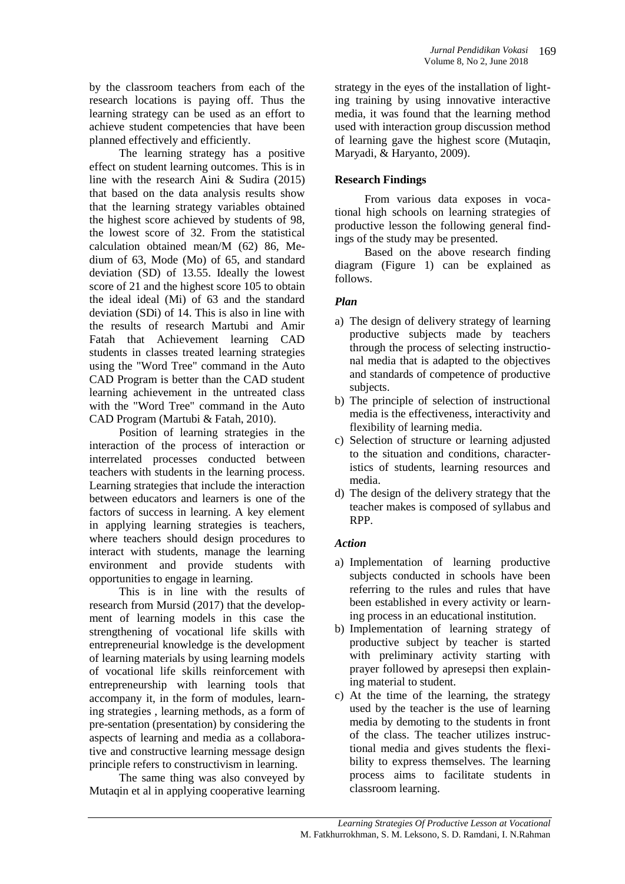by the classroom teachers from each of the research locations is paying off. Thus the learning strategy can be used as an effort to achieve student competencies that have been planned effectively and efficiently.

The learning strategy has a positive effect on student learning outcomes. This is in line with the research Aini & Sudira (2015) that based on the data analysis results show that the learning strategy variables obtained the highest score achieved by students of 98, the lowest score of 32. From the statistical calculation obtained mean/M (62) 86, Medium of 63, Mode (Mo) of 65, and standard deviation (SD) of 13.55. Ideally the lowest score of 21 and the highest score 105 to obtain the ideal ideal (Mi) of 63 and the standard deviation (SDi) of 14. This is also in line with the results of research Martubi and Amir Fatah that Achievement learning CAD students in classes treated learning strategies using the "Word Tree" command in the Auto CAD Program is better than the CAD student learning achievement in the untreated class with the "Word Tree" command in the Auto CAD Program (Martubi & Fatah, 2010).

Position of learning strategies in the interaction of the process of interaction or interrelated processes conducted between teachers with students in the learning process. Learning strategies that include the interaction between educators and learners is one of the factors of success in learning. A key element in applying learning strategies is teachers, where teachers should design procedures to interact with students, manage the learning environment and provide students with opportunities to engage in learning.

This is in line with the results of research from Mursid (2017) that the development of learning models in this case the strengthening of vocational life skills with entrepreneurial knowledge is the development of learning materials by using learning models of vocational life skills reinforcement with entrepreneurship with learning tools that accompany it, in the form of modules, learning strategies , learning methods, as a form of pre-sentation (presentation) by considering the aspects of learning and media as a collaborative and constructive learning message design principle refers to constructivism in learning.

The same thing was also conveyed by Mutaqin et al in applying cooperative learning strategy in the eyes of the installation of lighting training by using innovative interactive media, it was found that the learning method used with interaction group discussion method of learning gave the highest score (Mutaqin, Maryadi, & Haryanto, 2009).

## **Research Findings**

From various data exposes in vocational high schools on learning strategies of productive lesson the following general findings of the study may be presented.

Based on the above research finding diagram (Figure 1) can be explained as follows.

## *Plan*

- a) The design of delivery strategy of learning productive subjects made by teachers through the process of selecting instructional media that is adapted to the objectives and standards of competence of productive subjects.
- b) The principle of selection of instructional media is the effectiveness, interactivity and flexibility of learning media.
- c) Selection of structure or learning adjusted to the situation and conditions, characteristics of students, learning resources and media.
- d) The design of the delivery strategy that the teacher makes is composed of syllabus and RPP.

## *Action*

- a) Implementation of learning productive subjects conducted in schools have been referring to the rules and rules that have been established in every activity or learning process in an educational institution.
- b) Implementation of learning strategy of productive subject by teacher is started with preliminary activity starting with prayer followed by apresepsi then explaining material to student.
- c) At the time of the learning, the strategy used by the teacher is the use of learning media by demoting to the students in front of the class. The teacher utilizes instructional media and gives students the flexibility to express themselves. The learning process aims to facilitate students in classroom learning.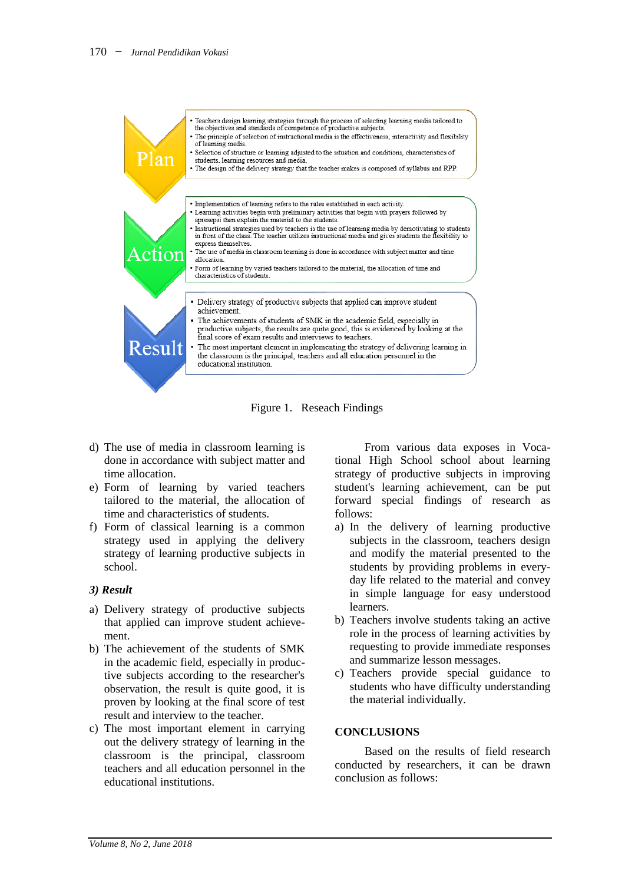

Figure 1. Reseach Findings

- d) The use of media in classroom learning is done in accordance with subject matter and time allocation.
- e) Form of learning by varied teachers tailored to the material, the allocation of time and characteristics of students.
- f) Form of classical learning is a common strategy used in applying the delivery strategy of learning productive subjects in school.

#### *3) Result*

- a) Delivery strategy of productive subjects that applied can improve student achievement.
- b) The achievement of the students of SMK in the academic field, especially in productive subjects according to the researcher's observation, the result is quite good, it is proven by looking at the final score of test result and interview to the teacher.
- c) The most important element in carrying out the delivery strategy of learning in the classroom is the principal, classroom teachers and all education personnel in the educational institutions.

From various data exposes in Vocational High School school about learning strategy of productive subjects in improving student's learning achievement, can be put forward special findings of research as follows:

- a) In the delivery of learning productive subjects in the classroom, teachers design and modify the material presented to the students by providing problems in everyday life related to the material and convey in simple language for easy understood learners.
- b) Teachers involve students taking an active role in the process of learning activities by requesting to provide immediate responses and summarize lesson messages.
- c) Teachers provide special guidance to students who have difficulty understanding the material individually.

#### **CONCLUSIONS**

Based on the results of field research conducted by researchers, it can be drawn conclusion as follows: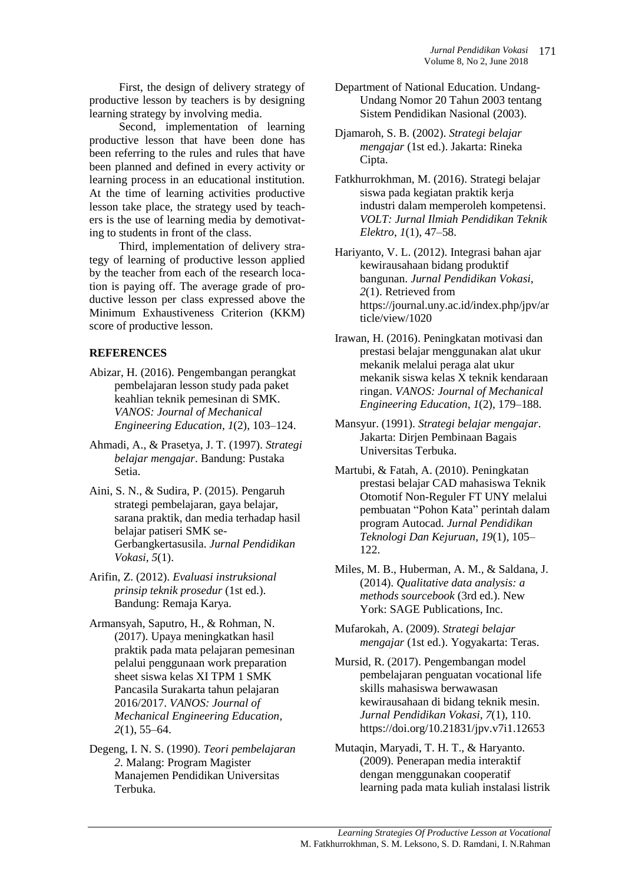First, the design of delivery strategy of productive lesson by teachers is by designing learning strategy by involving media.

Second, implementation of learning productive lesson that have been done has been referring to the rules and rules that have been planned and defined in every activity or learning process in an educational institution. At the time of learning activities productive lesson take place, the strategy used by teachers is the use of learning media by demotivating to students in front of the class.

Third, implementation of delivery strategy of learning of productive lesson applied by the teacher from each of the research location is paying off. The average grade of productive lesson per class expressed above the Minimum Exhaustiveness Criterion (KKM) score of productive lesson.

## **REFERENCES**

- Abizar, H. (2016). Pengembangan perangkat pembelajaran lesson study pada paket keahlian teknik pemesinan di SMK. *VANOS: Journal of Mechanical Engineering Education*, *1*(2), 103–124.
- Ahmadi, A., & Prasetya, J. T. (1997). *Strategi belajar mengajar*. Bandung: Pustaka Setia.
- Aini, S. N., & Sudira, P. (2015). Pengaruh strategi pembelajaran, gaya belajar, sarana praktik, dan media terhadap hasil belajar patiseri SMK se-Gerbangkertasusila. *Jurnal Pendidikan Vokasi*, *5*(1).
- Arifin, Z. (2012). *Evaluasi instruksional prinsip teknik prosedur* (1st ed.). Bandung: Remaja Karya.
- Armansyah, Saputro, H., & Rohman, N. (2017). Upaya meningkatkan hasil praktik pada mata pelajaran pemesinan pelalui penggunaan work preparation sheet siswa kelas XI TPM 1 SMK Pancasila Surakarta tahun pelajaran 2016/2017. *VANOS: Journal of Mechanical Engineering Education*, *2*(1), 55–64.
- Degeng, I. N. S. (1990). *Teori pembelajaran 2*. Malang: Program Magister Manajemen Pendidikan Universitas Terbuka.
- Department of National Education. Undang-Undang Nomor 20 Tahun 2003 tentang Sistem Pendidikan Nasional (2003).
- Djamaroh, S. B. (2002). *Strategi belajar mengajar* (1st ed.). Jakarta: Rineka Cipta.
- Fatkhurrokhman, M. (2016). Strategi belajar siswa pada kegiatan praktik kerja industri dalam memperoleh kompetensi. *VOLT: Jurnal Ilmiah Pendidikan Teknik Elektro*, *1*(1), 47–58.

Hariyanto, V. L. (2012). Integrasi bahan ajar kewirausahaan bidang produktif bangunan. *Jurnal Pendidikan Vokasi*, *2*(1). Retrieved from https://journal.uny.ac.id/index.php/jpv/ar ticle/view/1020

- Irawan, H. (2016). Peningkatan motivasi dan prestasi belajar menggunakan alat ukur mekanik melalui peraga alat ukur mekanik siswa kelas X teknik kendaraan ringan. *VANOS: Journal of Mechanical Engineering Education*, *1*(2), 179–188.
- Mansyur. (1991). *Strategi belajar mengajar*. Jakarta: Dirjen Pembinaan Bagais Universitas Terbuka.
- Martubi, & Fatah, A. (2010). Peningkatan prestasi belajar CAD mahasiswa Teknik Otomotif Non-Reguler FT UNY melalui pembuatan "Pohon Kata" perintah dalam program Autocad. *Jurnal Pendidikan Teknologi Dan Kejuruan*, *19*(1), 105– 122.
- Miles, M. B., Huberman, A. M., & Saldana, J. (2014). *Qualitative data analysis: a methods sourcebook* (3rd ed.). New York: SAGE Publications, Inc.
- Mufarokah, A. (2009). *Strategi belajar mengajar* (1st ed.). Yogyakarta: Teras.
- Mursid, R. (2017). Pengembangan model pembelajaran penguatan vocational life skills mahasiswa berwawasan kewirausahaan di bidang teknik mesin. *Jurnal Pendidikan Vokasi*, *7*(1), 110. https://doi.org/10.21831/jpv.v7i1.12653
- Mutaqin, Maryadi, T. H. T., & Haryanto. (2009). Penerapan media interaktif dengan menggunakan cooperatif learning pada mata kuliah instalasi listrik